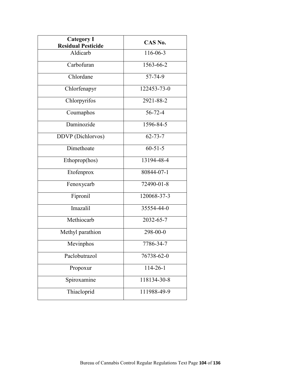| <b>Category I</b><br><b>Residual Pesticide</b> | CAS No.       |
|------------------------------------------------|---------------|
| Aldicarb                                       | 116-06-3      |
| Carbofuran                                     | 1563-66-2     |
| Chlordane                                      | 57-74-9       |
| Chlorfenapyr                                   | 122453-73-0   |
| Chlorpyrifos                                   | 2921-88-2     |
| Coumaphos                                      | $56 - 72 - 4$ |
| Daminozide                                     | 1596-84-5     |
| DDVP (Dichlorvos)                              | $62 - 73 - 7$ |
| Dimethoate                                     | $60 - 51 - 5$ |
| Ethoprop(hos)                                  | 13194-48-4    |
| Etofenprox                                     | 80844-07-1    |
| Fenoxycarb                                     | 72490-01-8    |
| Fipronil                                       | 120068-37-3   |
| Imazalil                                       | 35554-44-0    |
| Methiocarb                                     | 2032-65-7     |
| Methyl parathion                               | 298-00-0      |
| Mevinphos                                      | 7786-34-7     |
| Paclobutrazol                                  | 76738-62-0    |
| Propoxur                                       | 114-26-1      |
| Spiroxamine                                    | 118134-30-8   |
| Thiacloprid                                    | 111988-49-9   |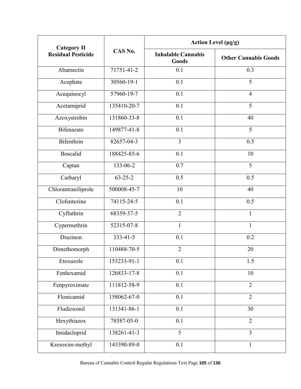| <b>Category II</b><br><b>Residual Pesticide</b> | CAS No.        | Action Level $(\mu g/g)$           |                             |
|-------------------------------------------------|----------------|------------------------------------|-----------------------------|
|                                                 |                | <b>Inhalable Cannabis</b><br>Goods | <b>Other Cannabis Goods</b> |
| Abamectin                                       | 71751-41-2     | 0.1                                | 0.3                         |
| Acephate                                        | 30560-19-1     | 0.1                                | 5                           |
| Acequinocyl                                     | 57960-19-7     | 0.1                                | $\overline{4}$              |
| Acetamiprid                                     | 135410-20-7    | 0.1                                | 5                           |
| Azoxystrobin                                    | 131860-33-8    | 0.1                                | 40                          |
| <b>Bifenazate</b>                               | 149877-41-8    | 0.1                                | 5                           |
| <b>Bifenthrin</b>                               | 82657-04-3     | $\overline{3}$                     | 0.5                         |
| <b>Boscalid</b>                                 | 188425-85-6    | 0.1                                | 10                          |
| Captan                                          | 133-06-2       | 0.7                                | 5                           |
| Carbaryl                                        | $63 - 25 - 2$  | 0.5                                | 0.5                         |
| Chlorantraniliprole                             | 500008-45-7    | 10                                 | 40                          |
| Clofentezine                                    | 74115-24-5     | 0.1                                | 0.5                         |
| Cyfluthrin                                      | 68359-37-5     | $\overline{2}$                     | $\mathbf{1}$                |
| Cypermethrin                                    | 52315-07-8     | $\mathbf{1}$                       | $\mathbf{1}$                |
| Diazinon                                        | $333 - 41 - 5$ | 0.1                                | 0.2                         |
| Dimethomorph                                    | 110488-70-5    | $\overline{2}$                     | 20                          |
| Etoxazole                                       | 153233-91-1    | 0.1                                | 1.5                         |
| Fenhexamid                                      | 126833-17-8    | 0.1                                | 10                          |
| Fenpyroximate                                   | 111812-58-9    | 0.1                                | $\overline{2}$              |
| Flonicamid                                      | 158062-67-0    | 0.1                                | $\overline{2}$              |
| Fludioxonil                                     | 131341-86-1    | 0.1                                | 30                          |
| Hexythiazox                                     | 78587-05-0     | 0.1                                | $\overline{2}$              |
| Imidacloprid                                    | 138261-41-3    | 5                                  | $\overline{3}$              |
| Kresoxim-methyl                                 | 143390-89-0    | 0.1                                | $\mathbf{1}$                |

Bureau of Cannabis Control Regular Regulations Text Page **105** of **136**